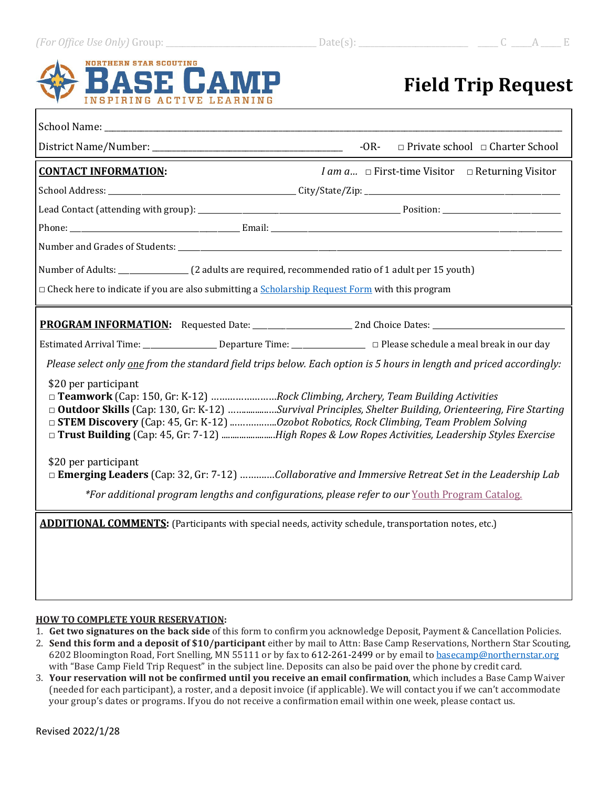# **NORTHERN STAR SCOUTING INSPIRING ACTIVE LEARNING**

# **Field Trip Request**

| School Name: The Contract of the Contract of the Contract of the Contract of the Contract of the Contract of the Contract of the Contract of the Contract of the Contract of the Contract of the Contract of the Contract of t                                                                                                                     |  |                                                  |  |  |  |  |
|----------------------------------------------------------------------------------------------------------------------------------------------------------------------------------------------------------------------------------------------------------------------------------------------------------------------------------------------------|--|--------------------------------------------------|--|--|--|--|
|                                                                                                                                                                                                                                                                                                                                                    |  | -OR- $\Box$ Private school $\Box$ Charter School |  |  |  |  |
| <i>I am a</i> $\Box$ First-time Visitor $\Box$ Returning Visitor<br><b>CONTACT INFORMATION:</b>                                                                                                                                                                                                                                                    |  |                                                  |  |  |  |  |
|                                                                                                                                                                                                                                                                                                                                                    |  |                                                  |  |  |  |  |
|                                                                                                                                                                                                                                                                                                                                                    |  |                                                  |  |  |  |  |
|                                                                                                                                                                                                                                                                                                                                                    |  |                                                  |  |  |  |  |
|                                                                                                                                                                                                                                                                                                                                                    |  |                                                  |  |  |  |  |
|                                                                                                                                                                                                                                                                                                                                                    |  |                                                  |  |  |  |  |
| $\Box$ Check here to indicate if you are also submitting a $Scholarship$ Request Form with this program                                                                                                                                                                                                                                            |  |                                                  |  |  |  |  |
|                                                                                                                                                                                                                                                                                                                                                    |  |                                                  |  |  |  |  |
|                                                                                                                                                                                                                                                                                                                                                    |  |                                                  |  |  |  |  |
| Please select only one from the standard field trips below. Each option is 5 hours in length and priced accordingly:                                                                                                                                                                                                                               |  |                                                  |  |  |  |  |
| \$20 per participant<br>□ Teamwork (Cap: 150, Gr: K-12) Rock Climbing, Archery, Team Building Activities<br>□ Outdoor Skills (Cap: 130, Gr: K-12) Survival Principles, Shelter Building, Orienteering, Fire Starting<br>□ Trust Building (Cap: 45, Gr: 7-12) High Ropes & Low Ropes Activities, Leadership Styles Exercise<br>\$20 per participant |  |                                                  |  |  |  |  |
| □ Emerging Leaders (Cap: 32, Gr: 7-12) Collaborative and Immersive Retreat Set in the Leadership Lab                                                                                                                                                                                                                                               |  |                                                  |  |  |  |  |
| *For additional program lengths and configurations, please refer to our Youth Program Catalog.                                                                                                                                                                                                                                                     |  |                                                  |  |  |  |  |
| <b>ADDITIONAL COMMENTS:</b> (Participants with special needs, activity schedule, transportation notes, etc.)                                                                                                                                                                                                                                       |  |                                                  |  |  |  |  |

### **HOW TO COMPLETE YOUR RESERVATION:**

- 1. **Get two signatures on the back side** of this form to confirm you acknowledge Deposit, Payment & Cancellation Policies.
- 2. **Send this form and a deposit of \$10/participant** either by mail to Attn: Base Camp Reservations, Northern Star Scouting, 6202 Bloomington Road, Fort Snelling, MN 55111 or by fax to 612-261-2499 or by email to [basecamp@northernstar.org](mailto:basecamp@northernstar.org) with "Base Camp Field Trip Request" in the subject line. Deposits can also be paid over the phone by credit card.
- 3. **Your reservation will not be confirmed until you receive an email confirmation**, which includes a Base Camp Waiver (needed for each participant), a roster, and a deposit invoice (if applicable). We will contact you if we can't accommodate your group's dates or programs. If you do not receive a confirmation email within one week, please contact us.